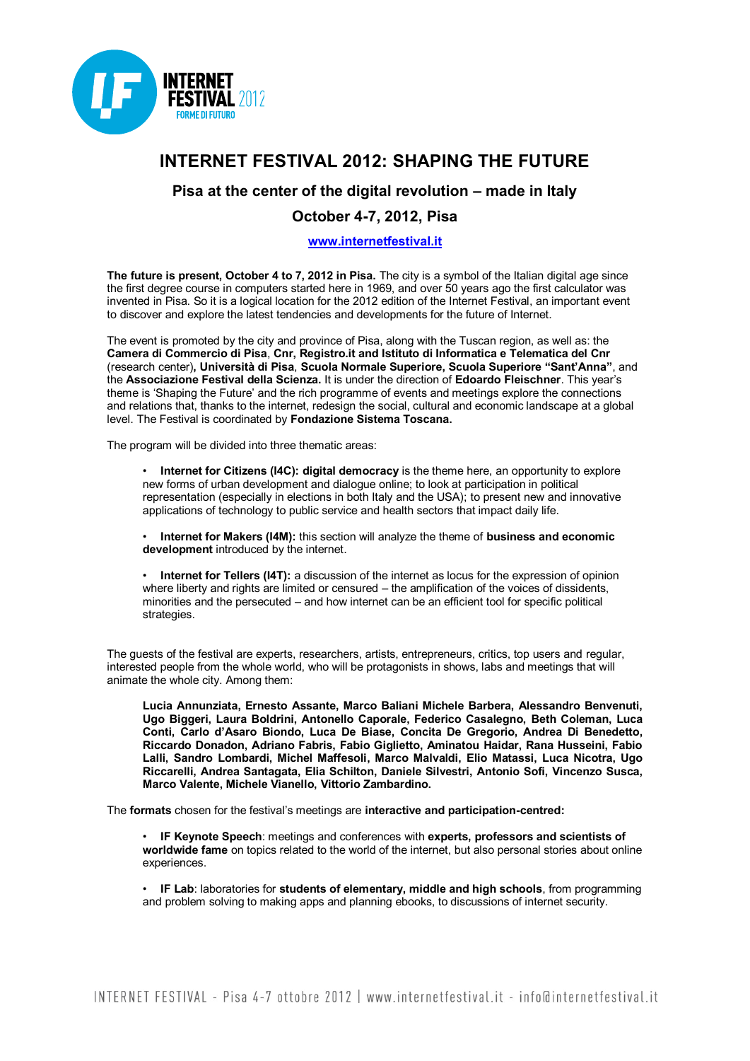

## **INTERNET FESTIVAL 2012: SHAPING THE FUTURE**

## **Pisa at the center of the digital revolution – made in Italy**

## **October 4-7, 2012, Pisa**

## **[www.internetfestival.it](http://www.internetfestival.it/)**

**The future is present, October 4 to 7, 2012 in Pisa.** The city is a symbol of the Italian digital age since the first degree course in computers started here in 1969, and over 50 years ago the first calculator was invented in Pisa. So it is a logical location for the 2012 edition of the Internet Festival, an important event to discover and explore the latest tendencies and developments for the future of Internet.

The event is promoted by the city and province of Pisa, along with the Tuscan region, as well as: the **Camera di Commercio di Pisa**, **Cnr, Registro.it and Istituto di Informatica e Telematica del Cnr** (research center), Università di Pisa, Scuola Normale Superiore, Scuola Superiore "Sant'Anna", and the **Associazione Festival della Scienza.** It is under the direction of **Edoardo Fleischner**. This year's theme is 'Shaping the Future' and the rich programme of events and meetings explore the connections and relations that, thanks to the internet, redesign the social, cultural and economic landscape at a global level. The Festival is coordinated by **Fondazione Sistema Toscana.**

The program will be divided into three thematic areas:

• **Internet for Citizens (I4C): digital democracy** is the theme here, an opportunity to explore new forms of urban development and dialogue online; to look at participation in political representation (especially in elections in both Italy and the USA); to present new and innovative applications of technology to public service and health sectors that impact daily life.

• **Internet for Makers (I4M):** this section will analyze the theme of **business and economic development** introduced by the internet.

• **Internet for Tellers (I4T):** a discussion of the internet as locus for the expression of opinion where liberty and rights are limited or censured – the amplification of the voices of dissidents, minorities and the persecuted – and how internet can be an efficient tool for specific political strategies.

The guests of the festival are experts, researchers, artists, entrepreneurs, critics, top users and regular, interested people from the whole world, who will be protagonists in shows, labs and meetings that will animate the whole city. Among them:

**Lucia Annunziata, Ernesto Assante, Marco Baliani Michele Barbera, Alessandro Benvenuti, Ugo Biggeri, Laura Boldrini, Antonello Caporale, Federico Casalegno, Beth Coleman, Luca**  Conti, Carlo d'Asaro Biondo, Luca De Biase, Concita De Gregorio, Andrea Di Benedetto, **Riccardo Donadon, Adriano Fabris, Fabio Giglietto, Aminatou Haidar, Rana Husseini, Fabio Lalli, Sandro Lombardi, Michel Maffesoli, Marco Malvaldi, Elio Matassi, Luca Nicotra, Ugo Riccarelli, Andrea Santagata, Elia Schilton, Daniele Silvestri, Antonio Sofi, Vincenzo Susca, Marco Valente, Michele Vianello, Vittorio Zambardino.**

The **formats** chosen for the festival's meetings are **interactive and participation-centred:**

• **IF Keynote Speech**: meetings and conferences with **experts, professors and scientists of worldwide fame** on topics related to the world of the internet, but also personal stories about online experiences.

• **IF Lab**: laboratories for **students of elementary, middle and high schools**, from programming and problem solving to making apps and planning ebooks, to discussions of internet security.